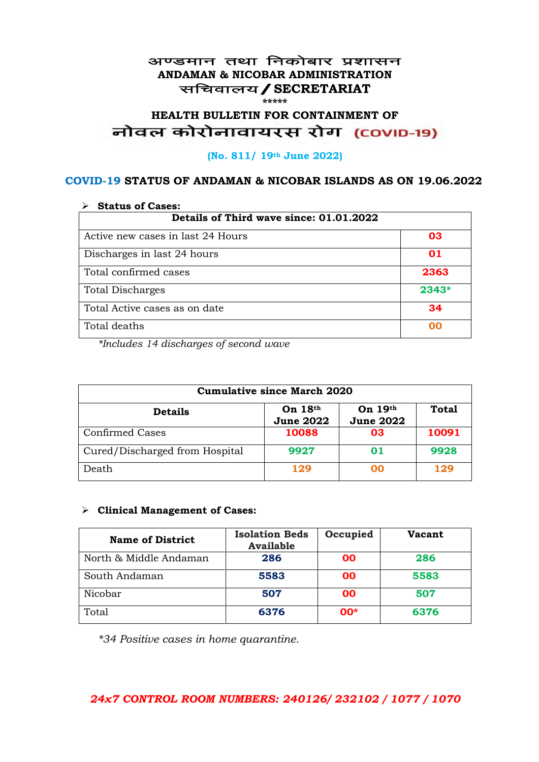#### अण्डमान तथा निकोबार प्रशासन **ANDAMAN & NICOBAR ADMINISTRATION** सचिवालय / SECRETARIAT **\*\*\*\*\***

# HEALTH BULLETIN FOR CONTAINMENT OF<br>बोवल कोरोनावायरस रोग (COVID-19)

#### **(No. 811/ 19th June 2022)**

### **COVID-19 STATUS OF ANDAMAN & NICOBAR ISLANDS AS ON 19.06.2022**

| <b>Status of Cases:</b>                 |         |  |
|-----------------------------------------|---------|--|
| Details of Third wave since: 01.01.2022 |         |  |
| Active new cases in last 24 Hours       | 03      |  |
| Discharges in last 24 hours             | 01      |  |
| Total confirmed cases                   | 2363    |  |
| <b>Total Discharges</b>                 | $2343*$ |  |
| Total Active cases as on date           | 34      |  |
| Total deaths                            | OO      |  |

*\*Includes 14 discharges of second wave*

| <b>Cumulative since March 2020</b> |                               |                             |              |
|------------------------------------|-------------------------------|-----------------------------|--------------|
| <b>Details</b>                     | On $18th$<br><b>June 2022</b> | On 19th<br><b>June 2022</b> | <b>Total</b> |
| <b>Confirmed Cases</b>             | 10088                         | 03                          | 10091        |
| Cured/Discharged from Hospital     | 9927                          | 01                          | 9928         |
| Death                              | 129                           | ററ                          | 129          |

#### ➢ **Clinical Management of Cases:**

| <b>Name of District</b> | <b>Isolation Beds</b><br><b>Available</b> | Occupied  | Vacant |
|-------------------------|-------------------------------------------|-----------|--------|
| North & Middle Andaman  | 286                                       | <b>OO</b> | 286    |
| South Andaman           | 5583                                      | <b>OO</b> | 5583   |
| Nicobar                 | 507                                       | 00        | 507    |
| Total                   | 6376                                      | $00*$     | 6376   |

*\*34 Positive cases in home quarantine.*

## *24x7 CONTROL ROOM NUMBERS: 240126/ 232102 / 1077 / 1070*